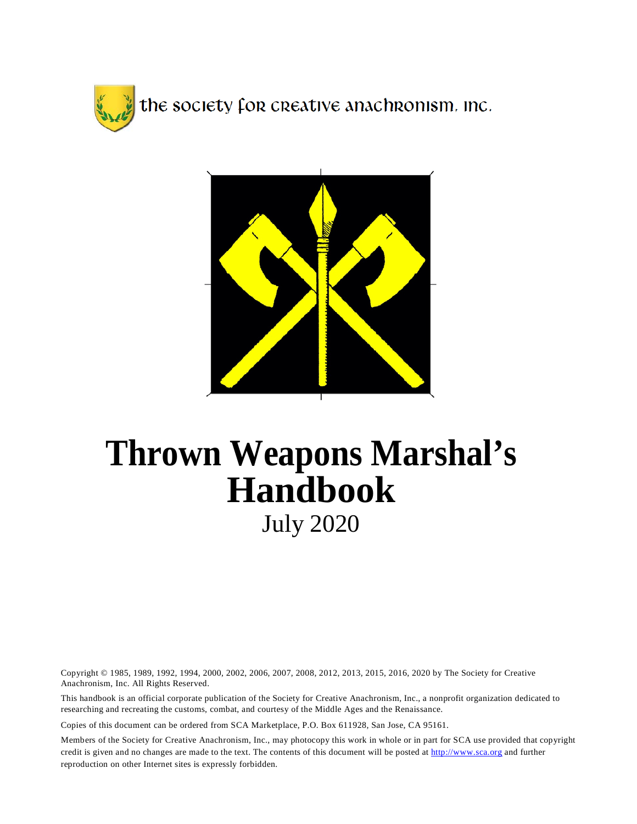



# **Thrown Weapons Marshal's Handbook** July 2020

Copyright © 1985, 1989, 1992, 1994, 2000, 2002, 2006, 2007, 2008, 2012, 2013, 2015, 2016, 2020 by The Society for Creative Anachronism, Inc. All Rights Reserved.

This handbook is an official corporate publication of the Society for Creative Anachronism, Inc., a nonprofit organization dedicated to researching and recreating the customs, combat, and courtesy of the Middle Ages and the Renaissance.

Copies of this document can be ordered from SCA Marketplace, P.O. Box 611928, San Jose, CA 95161.

Members of the Society for Creative Anachronism, Inc., may photocopy this work in whole or in part for SCA use provided that copyright credit is given and no changes are made to the text. The contents of this document will be posted a[t http://www.sca.org](http://www.sca.org/) and further reproduction on other Internet sites is expressly forbidden.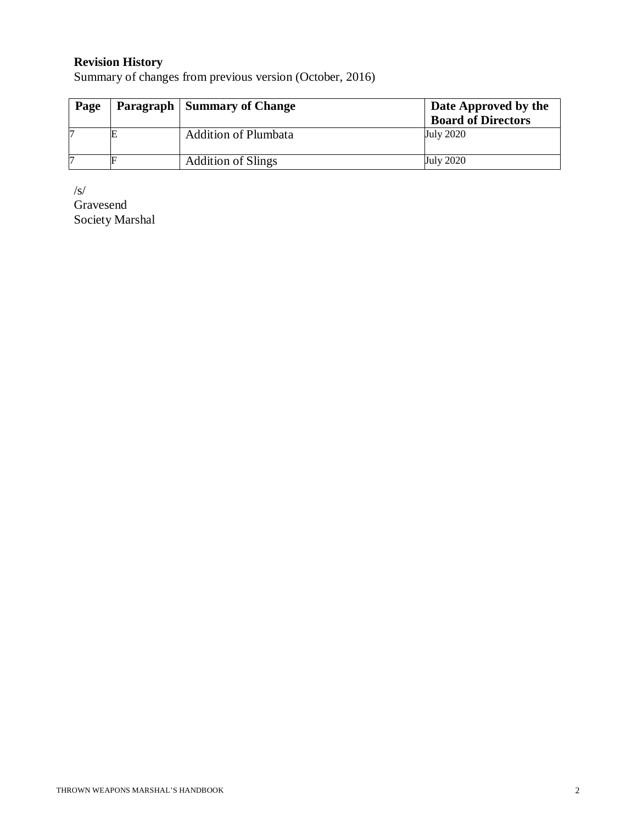# **Revision History**

Summary of changes from previous version (October, 2016)

| Page | <b>Paragraph   Summary of Change</b> | Date Approved by the<br><b>Board of Directors</b> |
|------|--------------------------------------|---------------------------------------------------|
|      | <b>Addition of Plumbata</b>          | July 2020                                         |
|      | <b>Addition of Slings</b>            | July 2020                                         |

/s/ Gravesend Society Marshal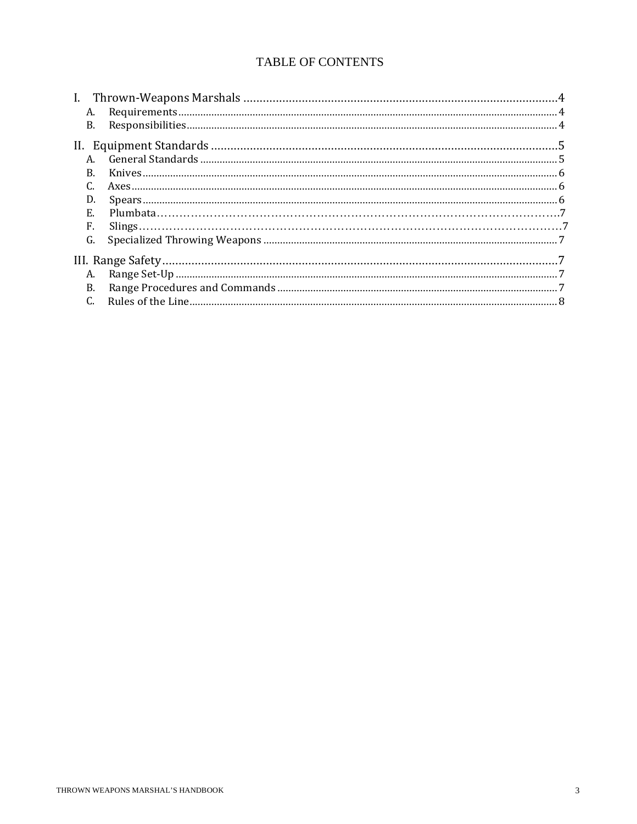# TABLE OF CONTENTS

| А. |  |  |
|----|--|--|
| В. |  |  |
|    |  |  |
| А. |  |  |
| B. |  |  |
|    |  |  |
| D. |  |  |
| E. |  |  |
| F. |  |  |
| G. |  |  |
|    |  |  |
| А. |  |  |
| В. |  |  |
|    |  |  |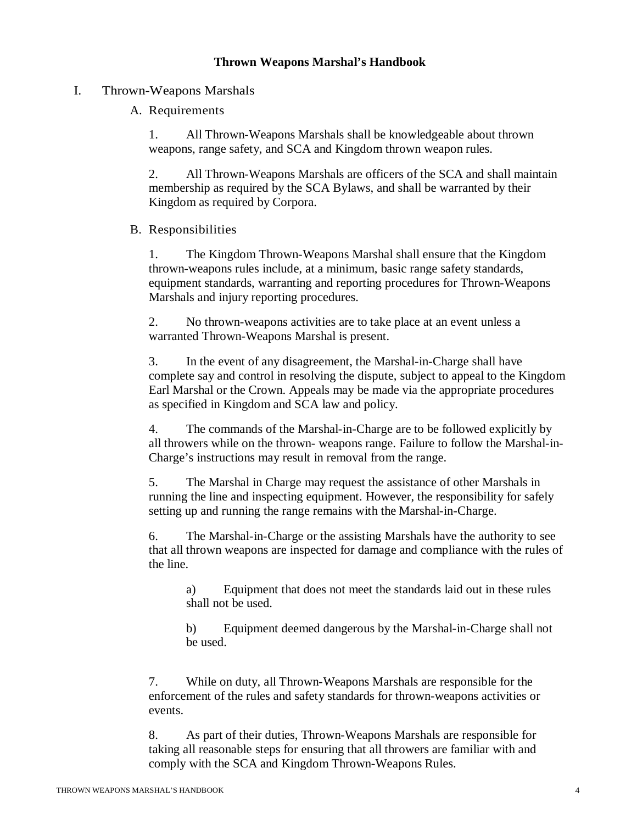## **Thrown Weapons Marshal's Handbook**

## I. Thrown-Weapons Marshals

## A. Requirements

1. All Thrown-Weapons Marshals shall be knowledgeable about thrown weapons, range safety, and SCA and Kingdom thrown weapon rules.

2. All Thrown-Weapons Marshals are officers of the SCA and shall maintain membership as required by the SCA Bylaws, and shall be warranted by their Kingdom as required by Corpora.

#### B. Responsibilities

1. The Kingdom Thrown-Weapons Marshal shall ensure that the Kingdom thrown-weapons rules include, at a minimum, basic range safety standards, equipment standards, warranting and reporting procedures for Thrown-Weapons Marshals and injury reporting procedures.

2. No thrown-weapons activities are to take place at an event unless a warranted Thrown-Weapons Marshal is present.

3. In the event of any disagreement, the Marshal-in-Charge shall have complete say and control in resolving the dispute, subject to appeal to the Kingdom Earl Marshal or the Crown. Appeals may be made via the appropriate procedures as specified in Kingdom and SCA law and policy.

4. The commands of the Marshal-in-Charge are to be followed explicitly by all throwers while on the thrown- weapons range. Failure to follow the Marshal-in-Charge's instructions may result in removal from the range.

5. The Marshal in Charge may request the assistance of other Marshals in running the line and inspecting equipment. However, the responsibility for safely setting up and running the range remains with the Marshal-in-Charge.

6. The Marshal-in-Charge or the assisting Marshals have the authority to see that all thrown weapons are inspected for damage and compliance with the rules of the line.

a) Equipment that does not meet the standards laid out in these rules shall not be used.

b) Equipment deemed dangerous by the Marshal-in-Charge shall not be used.

7. While on duty, all Thrown-Weapons Marshals are responsible for the enforcement of the rules and safety standards for thrown-weapons activities or events.

8. As part of their duties, Thrown-Weapons Marshals are responsible for taking all reasonable steps for ensuring that all throwers are familiar with and comply with the SCA and Kingdom Thrown-Weapons Rules.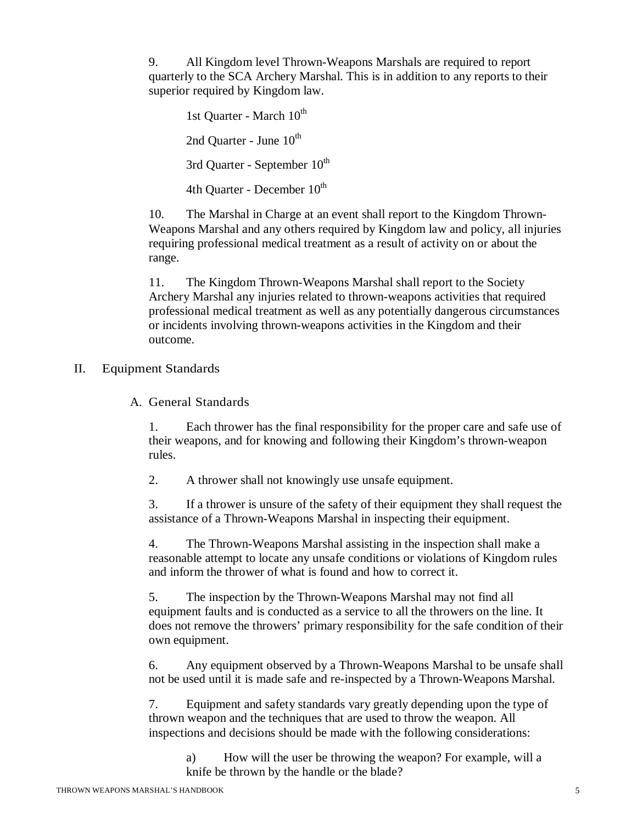9. All Kingdom level Thrown-Weapons Marshals are required to report quarterly to the SCA Archery Marshal. This is in addition to any reports to their superior required by Kingdom law.

1st Quarter - March  $10^{th}$ 2nd Quarter - June  $10^{th}$ 3rd Quarter - September  $10^{th}$ 4th Quarter - December  $10^{th}$ 

10. The Marshal in Charge at an event shall report to the Kingdom Thrown-Weapons Marshal and any others required by Kingdom law and policy, all injuries requiring professional medical treatment as a result of activity on or about the range.

11. The Kingdom Thrown-Weapons Marshal shall report to the Society Archery Marshal any injuries related to thrown-weapons activities that required professional medical treatment as well as any potentially dangerous circumstances or incidents involving thrown-weapons activities in the Kingdom and their outcome.

# II. Equipment Standards

A. General Standards

1. Each thrower has the final responsibility for the proper care and safe use of their weapons, and for knowing and following their Kingdom's thrown-weapon rules.

2. A thrower shall not knowingly use unsafe equipment.

3. If a thrower is unsure of the safety of their equipment they shall request the assistance of a Thrown-Weapons Marshal in inspecting their equipment.

4. The Thrown-Weapons Marshal assisting in the inspection shall make a reasonable attempt to locate any unsafe conditions or violations of Kingdom rules and inform the thrower of what is found and how to correct it.

5. The inspection by the Thrown-Weapons Marshal may not find all equipment faults and is conducted as a service to all the throwers on the line. It does not remove the throwers' primary responsibility for the safe condition of their own equipment.

6. Any equipment observed by a Thrown-Weapons Marshal to be unsafe shall not be used until it is made safe and re-inspected by a Thrown-Weapons Marshal.

7. Equipment and safety standards vary greatly depending upon the type of thrown weapon and the techniques that are used to throw the weapon. All inspections and decisions should be made with the following considerations:

a) How will the user be throwing the weapon? For example, will a knife be thrown by the handle or the blade?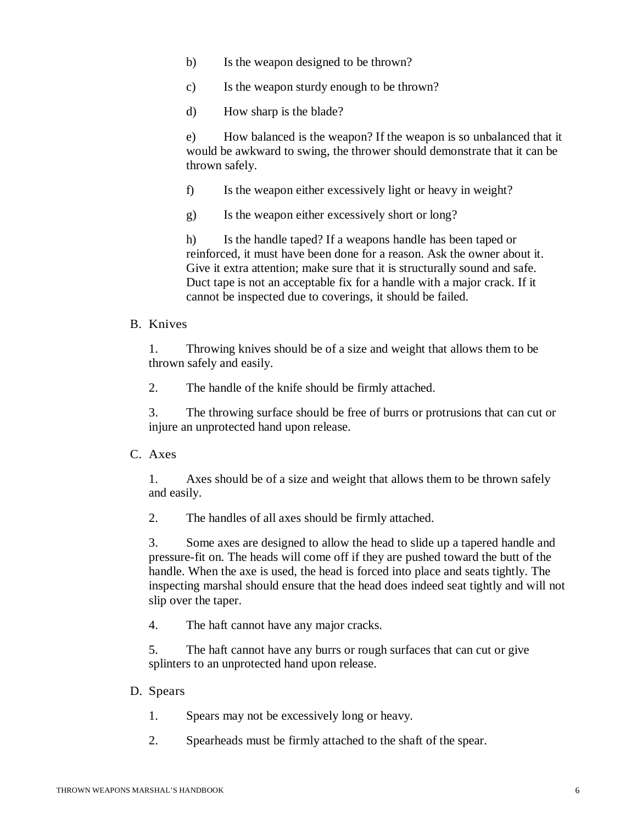- b) Is the weapon designed to be thrown?
- c) Is the weapon sturdy enough to be thrown?
- d) How sharp is the blade?

e) How balanced is the weapon? If the weapon is so unbalanced that it would be awkward to swing, the thrower should demonstrate that it can be thrown safely.

- f) Is the weapon either excessively light or heavy in weight?
- g) Is the weapon either excessively short or long?

h) Is the handle taped? If a weapons handle has been taped or reinforced, it must have been done for a reason. Ask the owner about it. Give it extra attention; make sure that it is structurally sound and safe. Duct tape is not an acceptable fix for a handle with a major crack. If it cannot be inspected due to coverings, it should be failed.

#### B. Knives

1. Throwing knives should be of a size and weight that allows them to be thrown safely and easily.

2. The handle of the knife should be firmly attached.

3. The throwing surface should be free of burrs or protrusions that can cut or injure an unprotected hand upon release.

C. Axes

1. Axes should be of a size and weight that allows them to be thrown safely and easily.

2. The handles of all axes should be firmly attached.

3. Some axes are designed to allow the head to slide up a tapered handle and pressure-fit on. The heads will come off if they are pushed toward the butt of the handle. When the axe is used, the head is forced into place and seats tightly. The inspecting marshal should ensure that the head does indeed seat tightly and will not slip over the taper.

4. The haft cannot have any major cracks.

5. The haft cannot have any burrs or rough surfaces that can cut or give splinters to an unprotected hand upon release.

#### D. Spears

- 1. Spears may not be excessively long or heavy.
- 2. Spearheads must be firmly attached to the shaft of the spear.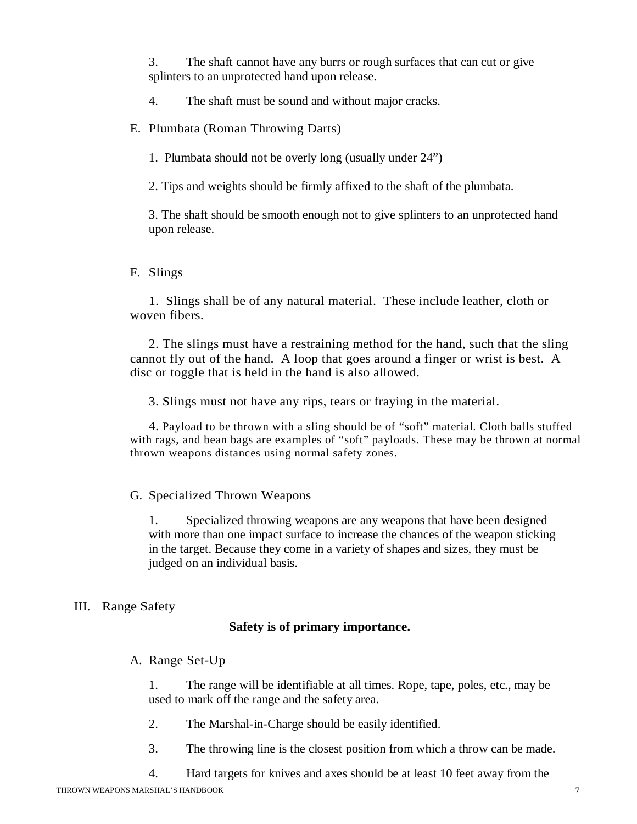3. The shaft cannot have any burrs or rough surfaces that can cut or give splinters to an unprotected hand upon release.

4. The shaft must be sound and without major cracks.

E. Plumbata (Roman Throwing Darts)

1. Plumbata should not be overly long (usually under 24")

2. Tips and weights should be firmly affixed to the shaft of the plumbata.

3. The shaft should be smooth enough not to give splinters to an unprotected hand upon release.

F. Slings

1. Slings shall be of any natural material. These include leather, cloth or woven fibers.

2. The slings must have a restraining method for the hand, such that the sling cannot fly out of the hand. A loop that goes around a finger or wrist is best. A disc or toggle that is held in the hand is also allowed.

3. Slings must not have any rips, tears or fraying in the material.

4. Payload to be thrown with a sling should be of "soft" material. Cloth balls stuffed with rags, and bean bags are examples of "soft" payloads. These may be thrown at normal thrown weapons distances using normal safety zones.

# G. Specialized Thrown Weapons

1. Specialized throwing weapons are any weapons that have been designed with more than one impact surface to increase the chances of the weapon sticking in the target. Because they come in a variety of shapes and sizes, they must be judged on an individual basis.

# III. Range Safety

# **Safety is of primary importance.**

A. Range Set-Up

1. The range will be identifiable at all times. Rope, tape, poles, etc., may be used to mark off the range and the safety area.

- 2. The Marshal-in-Charge should be easily identified.
- 3. The throwing line is the closest position from which a throw can be made.
- 4. Hard targets for knives and axes should be at least 10 feet away from the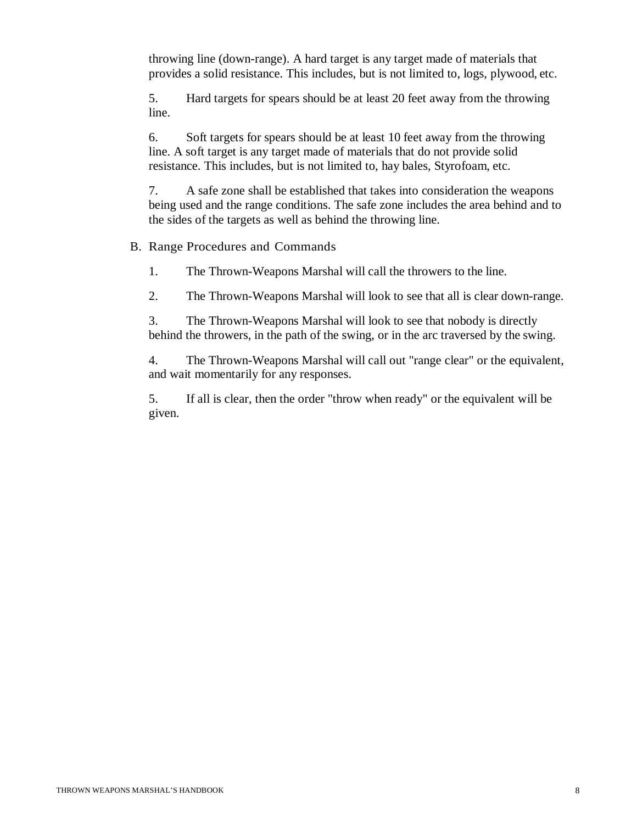throwing line (down-range). A hard target is any target made of materials that provides a solid resistance. This includes, but is not limited to, logs, plywood, etc.

5. Hard targets for spears should be at least 20 feet away from the throwing line.

6. Soft targets for spears should be at least 10 feet away from the throwing line. A soft target is any target made of materials that do not provide solid resistance. This includes, but is not limited to, hay bales, Styrofoam, etc.

7. A safe zone shall be established that takes into consideration the weapons being used and the range conditions. The safe zone includes the area behind and to the sides of the targets as well as behind the throwing line.

B. Range Procedures and Commands

1. The Thrown-Weapons Marshal will call the throwers to the line.

2. The Thrown-Weapons Marshal will look to see that all is clear down-range.

3. The Thrown-Weapons Marshal will look to see that nobody is directly behind the throwers, in the path of the swing, or in the arc traversed by the swing.

4. The Thrown-Weapons Marshal will call out "range clear" or the equivalent, and wait momentarily for any responses.

5. If all is clear, then the order "throw when ready" or the equivalent will be given.